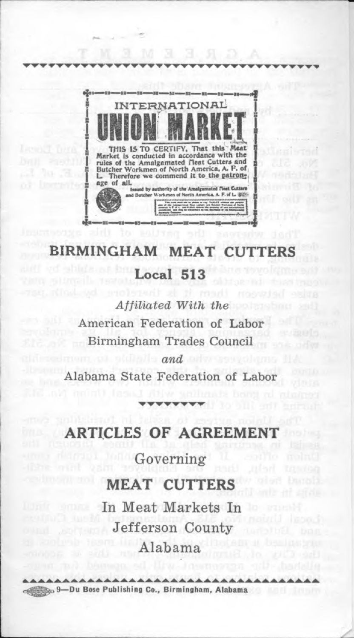

# **BIRMINGHAM MEAT CUTTERS Local 513**

*Affiliated With the* American Federation of Labor Birmingham Trades Council *and*

Alabama State Federation of Labor

#### **TICLES OF AGREEM**

Governing

#### **MEAT CUTTERS**

In Meat Markets In Jefferson County Alabama

9— Du Bose Publishing Co., Birmingham, Alabama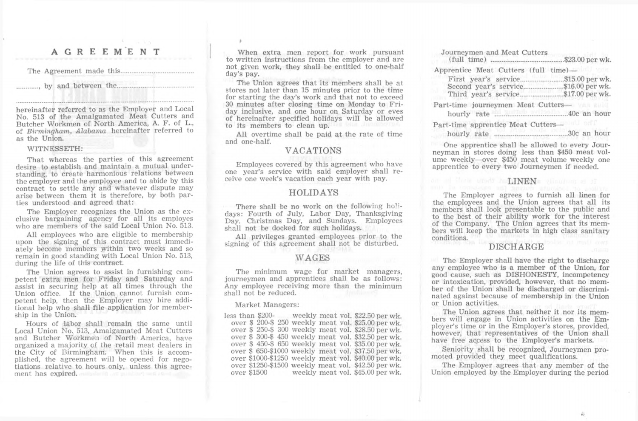#### **AGREEMENT**

The Agreement made this.

......, by and between the...

hereinafter referred to as the Employer and Local No. 513 of the Amalgamated Meat Cutters and Butcher Workmen of North America, A. F. of L., of *Birmingham, Alabama* hereinafter referred to as the Union.

#### WITNESSETH:

That whereas the parties of this agreement desire to establish and maintain a mutual understanding, to create harmonious relations between the employer and the employee and to abide by this contract to settle any and whatever dispute may arise between them it is therefore, by both parties understood and agreed that:

The Employer recognizes the Union as the exclusive bargaining agency for all its employes who are members of the said Local Union No. 513.

All employees who are eligible to membership upon the signing of this contract must immediately become members within two weeks and so remain in good standing with Local Union No. 513, during the life of this contract.

The Union agrees to assist in furnishing competent extra men for Friday and Saturday and assist in securing help at all times through the Union office. If the Union cannot furnish competent help, then the Employer may hire additional help who shall file application for membership in the Union.

Hours of labor shall remain the same until Local Union No. 513, Amalgamated Meat Cutters and Butcher Workmen of North America, have organized a majority of the retail meat dealers in the City of Birmingham. When this is accomplished, the agreement will be opened for negotiations relative to hours only, unless this agreement has expired.

When extra men report for work pursuant to written instructions from the employer and are not given work, they shall be entitled to one-half day's pay.

The Union agrees that its members shall be at stores not later than 15 minutes prior to the time for starting the day's work and that not to exceed 30 minutes after closing time on Monday to Friday inclusive, and one hour on Saturday or eves of hereinafter specified holidays will be allowed to its members to clean up.

All overtime shall be paid at the rate of time and one-half.

#### VACATIONS

Employees covered by this agreement who have one year's service with said employer shall receive one week's vacation each year with pay.

#### HOLIDAYS

There shall be no work on the following holidays: Fourth of July, Labor Day, Thanksgiving Day. Christmas Day, and Sundays. Employees shall not be docked for such holidays.

All privileges granted employees prior to the signing of this agreement shall not be disturbed.

### WAGES

The minimum wage for market managers, journeymen and apprentices shall be as follows: Any employee receiving more than the minimum shall not be reduced.

Market Managers:

less than \$200- weekly meat vol. \$22.50 per wk. over \$ 200-\$ 250 weekly meat vol. \$25.00 per wk. over \$ 250-\$ 300 weekly meat vol. \$28.50 per wk. over \$ 300-\$ 450 weekly meat vol. \$32.50 per wk. over \$ 450-\$ 650 weekly meat vol. \$35.00 per wk. over \$ 650-\$1000 weekly meat vol. \$37.50 per wk. over \$1000-\$1250 weekly meat vol. \$40.00 per wk. over \$1250-\$1500 weekly meat vol. \$42.50 per wk. weekly meat vol. \$45.00 per wk.

| Journeymen and Meat Cutters                                                                 | \$23.00 per wk.  |
|---------------------------------------------------------------------------------------------|------------------|
| Apprentice Meat Cutters (full time)—<br>First year's service.<br><br>Second year's service. | .\$15.00 per wk. |
| Part-time journeymen Meat Cutters—                                                          |                  |
| Part-time apprentice Meat Cutters-<br>hourly rate                                           | 30c an hour      |

One apprentice shall be allowed to every Journeyman in stores doing less than \$450 meat volume weekly—over \$450 meat volume weekly one apprentice to every two Journeymen if needed.

#### on al Chris stort AnLINENs ellowing al if

The Employer agrees to furnish all linen for the employees and the Union agrees that all its members shall look presentable to the public and to the best of their ability work for the interest of the Company. The Union agrees that its members will keep the markets in high class sanitary conditions.

#### DISCHARGE

The Employer shall have the right to discharge any employee who is a member of the Union, for good cause, such as DISHONESTY, incompetency or intoxication, provided, however, that no member of the Union shall be discharged or discriminated against because of membership in the Union or Union activities.

The Union agrees that neither it nor its members will engage in Union activities on the Employer's time or in the Employer's stores, provided, however, that representatives of the Union shall have free access to the Employer's markets.

Seniority shall be recognized, Journeymen promoted provided they meet qualifications.

The Employer agrees that any member of the Union employed by the Employer during the period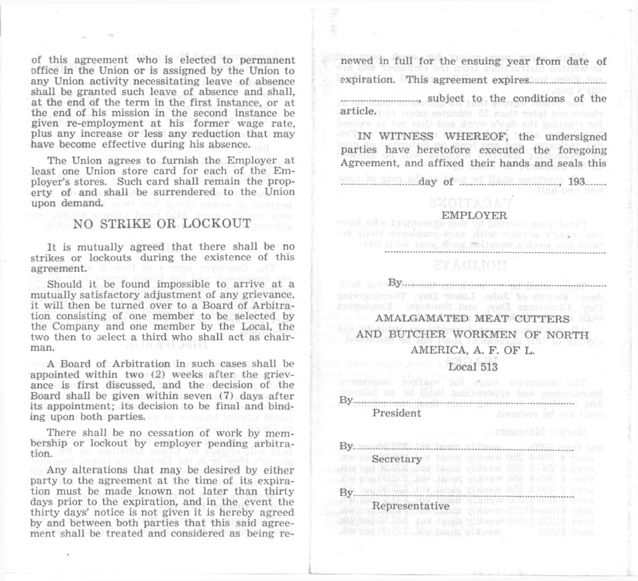of this agreement who is elected to permanent office in the Union or is assigned by the Union to any Union activity necessitating leave of absence shall be granted such leave of absence and shall, at the end of the term in the first instance, or at the end of his mission in the second instance be given re-employment at his former wage rate, plus any increase or less any reduction that may have become effective during his absence.

The Union agrees to furnish the Employer at least one Union store card for each of the Employer's stores. Such card shall remain the property of and shall be surrendered to the Union upon demand. must send some announcement

## NO STRIKE OR LOCKOUT

It is mutually agreed that there shall be no strikes or lockouts during the existence of this agreement. derived of above reveloped will

Should it be found impossible to arrive at a mutually satisfactory adjustment of any grievance, it will then be turned over to a Board of Arbitration consisting of one member to be selected by the Company and one member by the Local, the two then to select a third who shall act as chairman.

A Board of Arbitration in such cases shall be appointed within two (2) weeks after the grievance is first discussed, and the decision of the Board shall be given within seven (7) days after its appointment; its decision to be final and binding upon both parties.

There shall be no cessation of work by membership or lockout by employer pending arbitration. add no seulveles nom

Any alterations that may be desired by either party to the agreement at the time of its expiration must be made known not later than thirty days prior to the expiration, and in the event the thirty days' notice is not given it is hereby agreed by and between both parties that this said agreement shall be treated and considered as being renewed in full for the ensuing year from date of expiration. This agreement expires.......................... ........................... subject to the conditions of the

article.) of tobic setunder  $\mathbb{C}$  mark and consta-

IN WITNESS WHEREOF, the undersigned parties have heretofore executed the foregoing Agreement, and affixed their hands and seals this

..........................day of .................................., 193.......

**EMPLOYER** our year's service with anid-engloyer gluall reand any week's vacable and area with more

**By. By. By. And All Accommodation of the Commodation of the Accommodation** 

AMALGAMATED MEAT CUTTERS AND BUTCHER WORKMEN OF NORTH AMERICA, A. F. OF L. Local 513

The minimum wage for mached manufactu wolld as al light sectionary but convenient President

By. Secretary Long them 02: 2-002 2 mon By. Representative